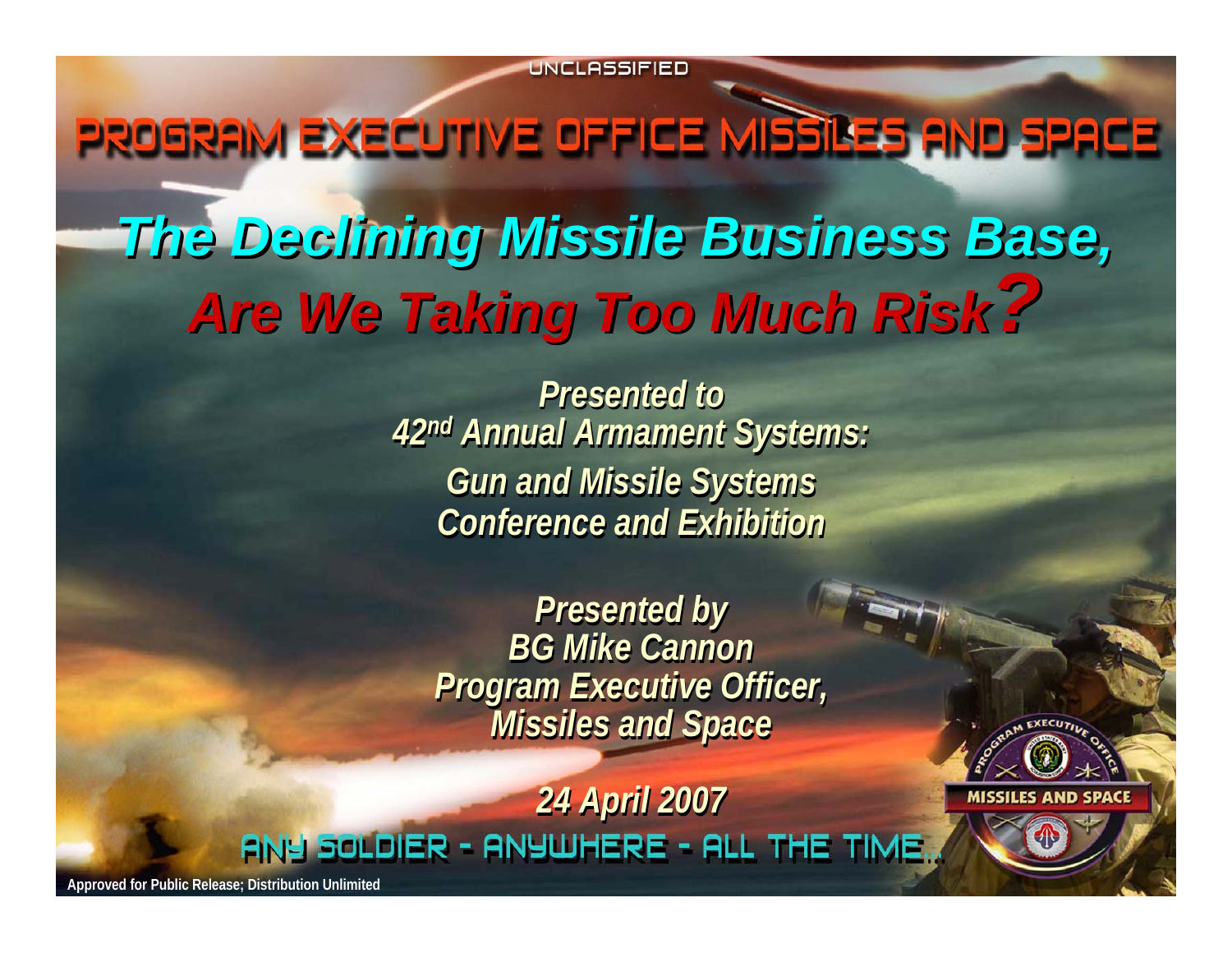PROGRAM EXECUTIVE OFFICE MISSILES AND SPACE *The Declining Missile Business Base, The Declining Missile Business Base, Are We Taking Too Much Risk? Are We Taking Too Much Risk?*

> *Presented toPresented to 42nd Annual Armament Systems: 42nd Annual Armament Systems: Gun and Missile Systems Gun and Missile Systems Conference and Exhibition Conference and Exhibition*

*Presented by Presented by BG Mike CannonBG Mike Cannon Program Executive Officer, Program Executive Officer, Missiles and Space Missiles and Space*

*24 April 2007 24 April 2007* ANY SOLDIER - ANYWHERE - ALL THE TIME.

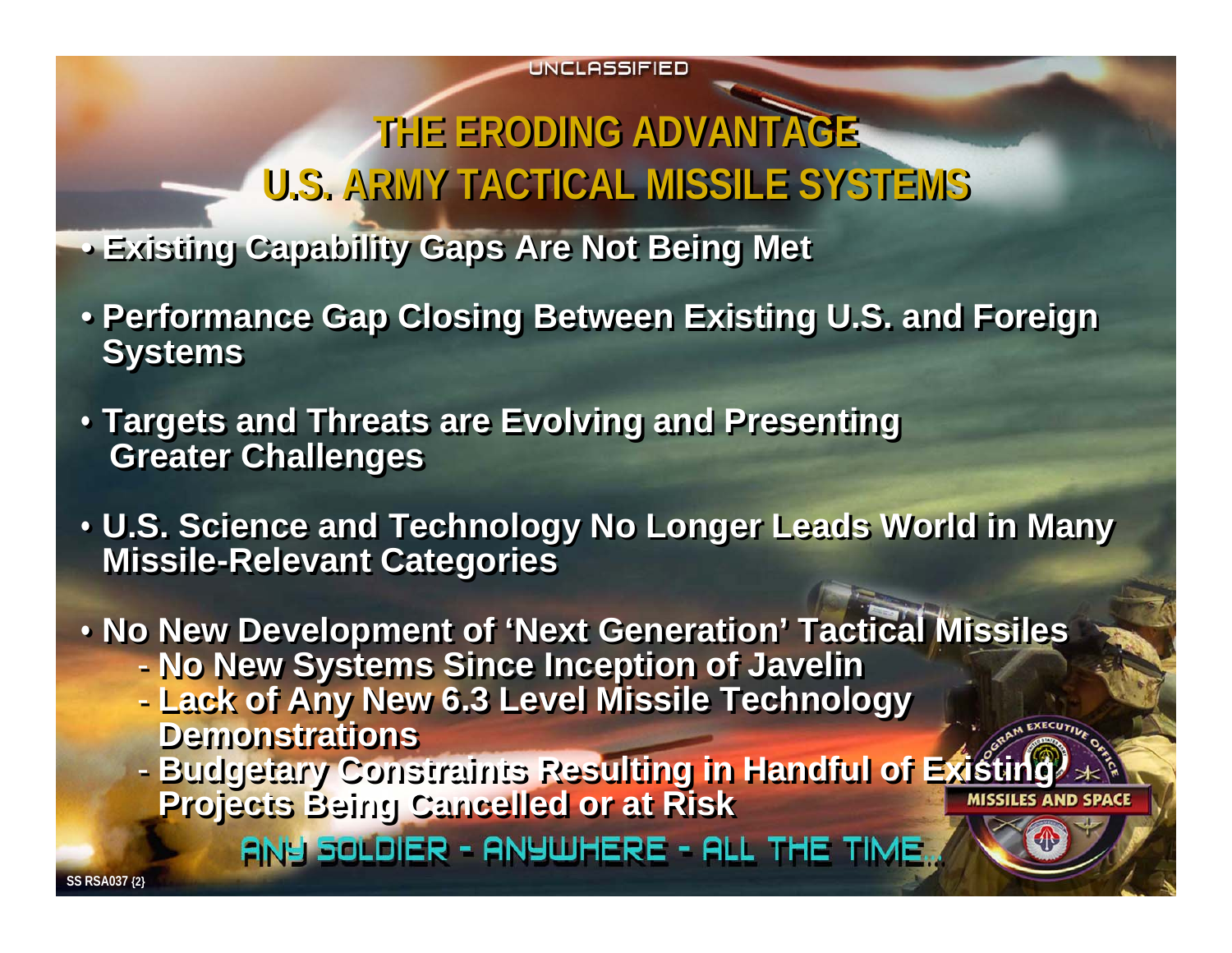

**THE ERODING ADVANTAGE THE ERODING ADVANTAGE U.S. ARMY TACTICAL MISSILE SYSTEMSU.S. ARMY TACTICAL MISSILE SYSTEMS**

• **Existing Capability Gaps Are Not Being Met** • **Existing Capability Gaps Are Not Being Met**

- **Performance Gap Closing Between Existing U.S. and Foreign Performance Gap Closing Between Existing U.S. and Foreign Systems Systems**
- **Targets and Threats are Evolving and Presenting Targets and Threats are Evolving and Presenting Greater Challenges Greater Challenges**
- **U.S. Science and Technology No Longer Leads World in Many U.S. Science and Technology No Longer Leads World in Many Missile-Relevant Categories Missile-Relevant Categories**

• **No New Development of 'Next Generation' Tactical Missiles** • **No New Development of 'Next Generation' Tactical Missiles**

- - **No New Systems Since Inception of Javelin** -**No New Systems Since Inception of Javelin**
- - **Lack of Any New 6.3 Level Missile Technology**  -**Demonstrations Lack of Any New 6.3 Level Missile Technology**

 **Budgetary Constraints Resulting in Handful of Existing Budgetary Constraints Resulting in Handful of Existing**  --**Projects Being Cancelled or at Risk Projects Being Cancelled or at Risk** ANY SOLDIER - ANYWHERE - ALL THE TIME.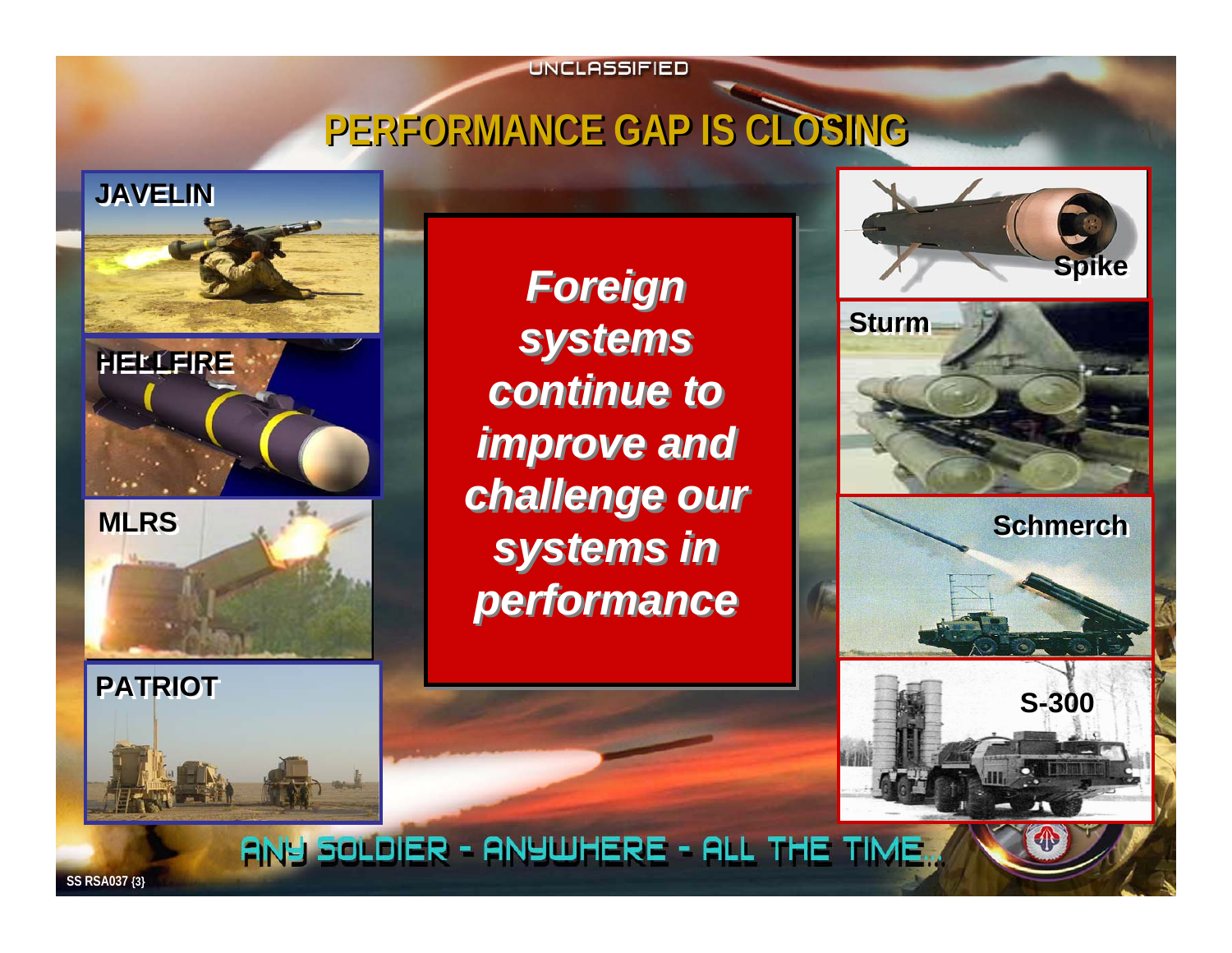## **PERFORMANCE GAP IS CLOSING PERFORMANCE GAP IS CLOSING**



*Foreign Foreign systems systems continue to continue to improve and improve and challenge our challenge our systems in systems in performance performance*





**Schmerch Schmerch**



ANY SOLDIER - ANYWHERE - ALL THE TIME.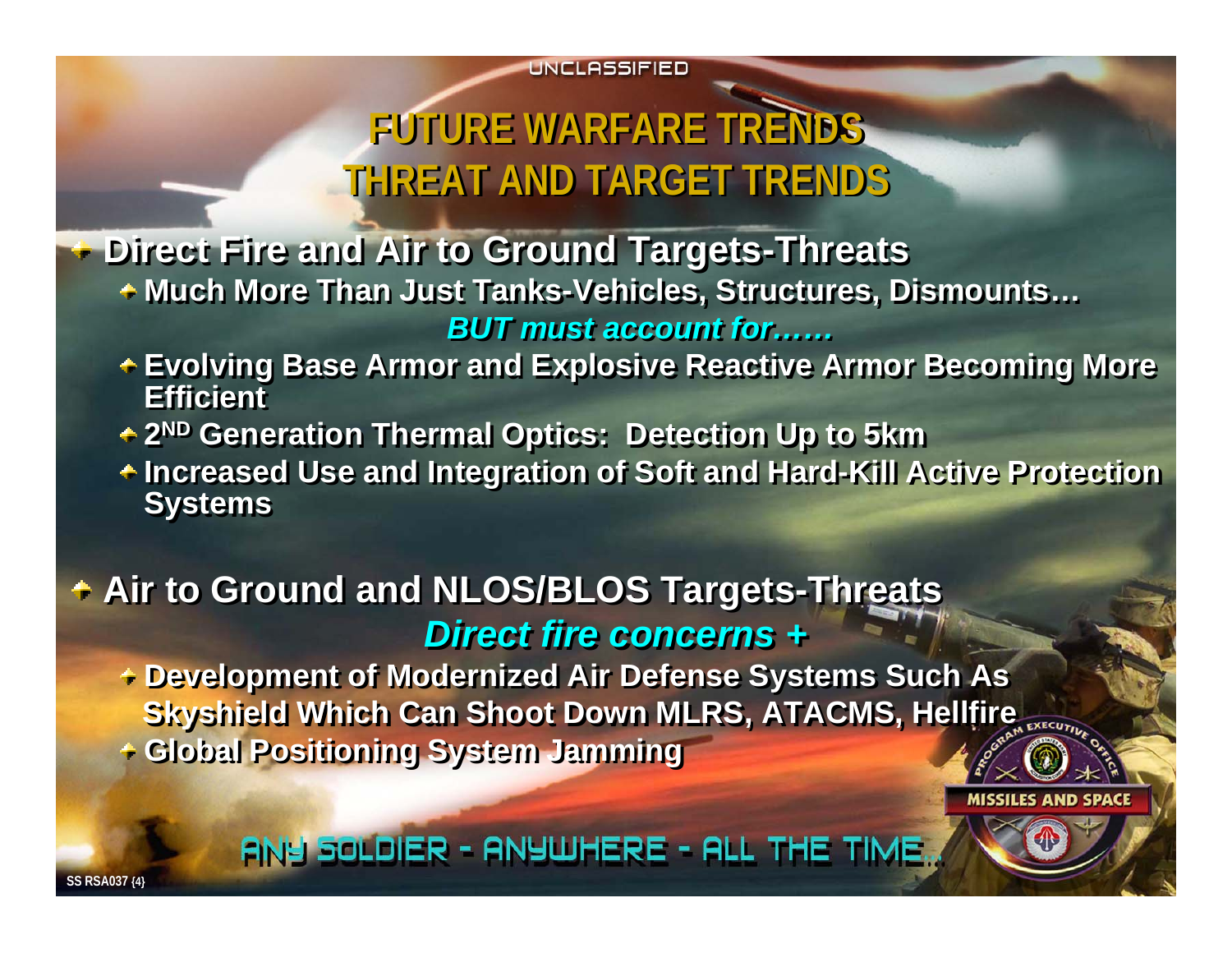

# **FUTURE WARFARE TRENDS FUTURE WARFARE TRENDS THREAT AND TARGET TRENDSTHREAT AND TARGET TRENDS**

**Direct Fire and Air to Ground Targets-Threats Direct Fire and Air to Ground Targets-Threats Much More Than Just Tanks-Vehicles, Structures, Dismounts… Much More Than Just Tanks-Vehicles, Structures, Dismounts…** *BUT must account for……BUT must account for……*

- **Evolving Base Armor and Explosive Reactive Armor Becoming More Evolving Base Armor and Explosive Reactive Armor Becoming More EfficientEfficient**
- **2ND Generation Thermal Optics: Detection Up to 5km 2ND Generation Thermal Optics: Detection Up to 5km**

**Increased Use and Integration of Soft and Hard-Kill Active Protection Increased Use and Integration of Soft and Hard-Kill Active Protection Systems Systems**

### **Air to Ground and NLOS/BLOS Targets-Threats Air to Ground and NLOS/BLOS Targets-Threats** *Direct fire concerns +Direct fire concerns +*

**Development of Modernized Air Defense Systems Such As Development of Modernized Air Defense Systems Such As Skyshield Which Can Shoot Down MLRS, ATACMS, Hellfire Skyshield Which Can Shoot Down MLRS, ATACMS, Hellfire Global Positioning System Jamming Global Positioning System Jamming**

ANY SOLDIER - ANYWHERE - ALL THE TIME.

**SS RSA037 {4}**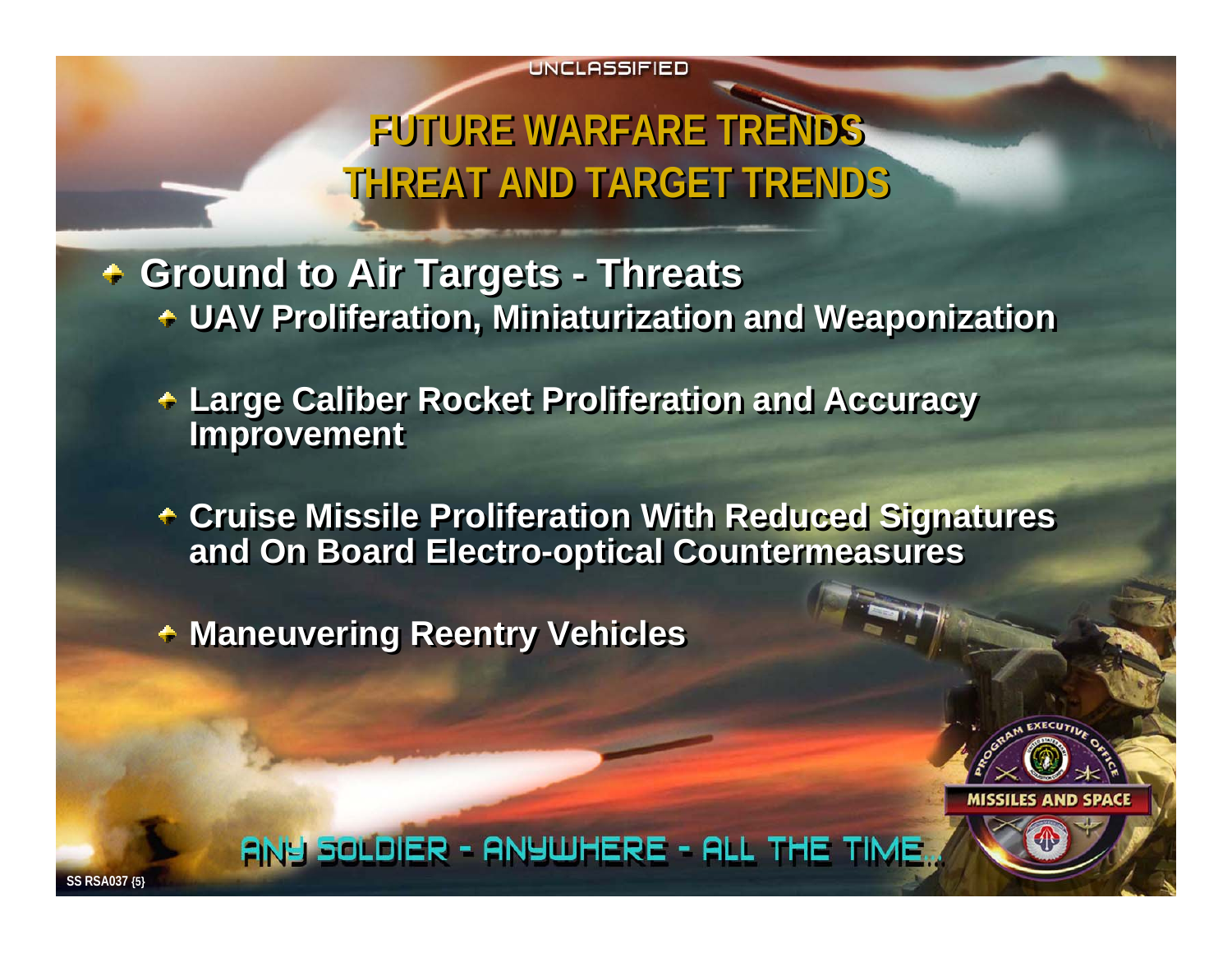**FUTURE WARFARE TRENDS FUTURE WARFARE TRENDS THREAT AND TARGET TRENDSTHREAT AND TARGET TRENDS**

**Ground to Air Targets - Threats Ground to Air Targets - Threats UAV Proliferation, Miniaturization and Weaponization UAV Proliferation, Miniaturization and Weaponization**

**Large Caliber Rocket Proliferation and Accuracy Large Caliber Rocket Proliferation and Accuracy Improvement Improvement**

**Cruise Missile Proliferation With Reduced Signatures and On Board Electro-optical Countermeasures Cruise Missile Proliferation With Reduced Signatures and On Board Electro-optical Countermeasures**

**Maneuvering Reentry Vehicles Maneuvering Reentry Vehicles** 



**SS RSA037 {5}**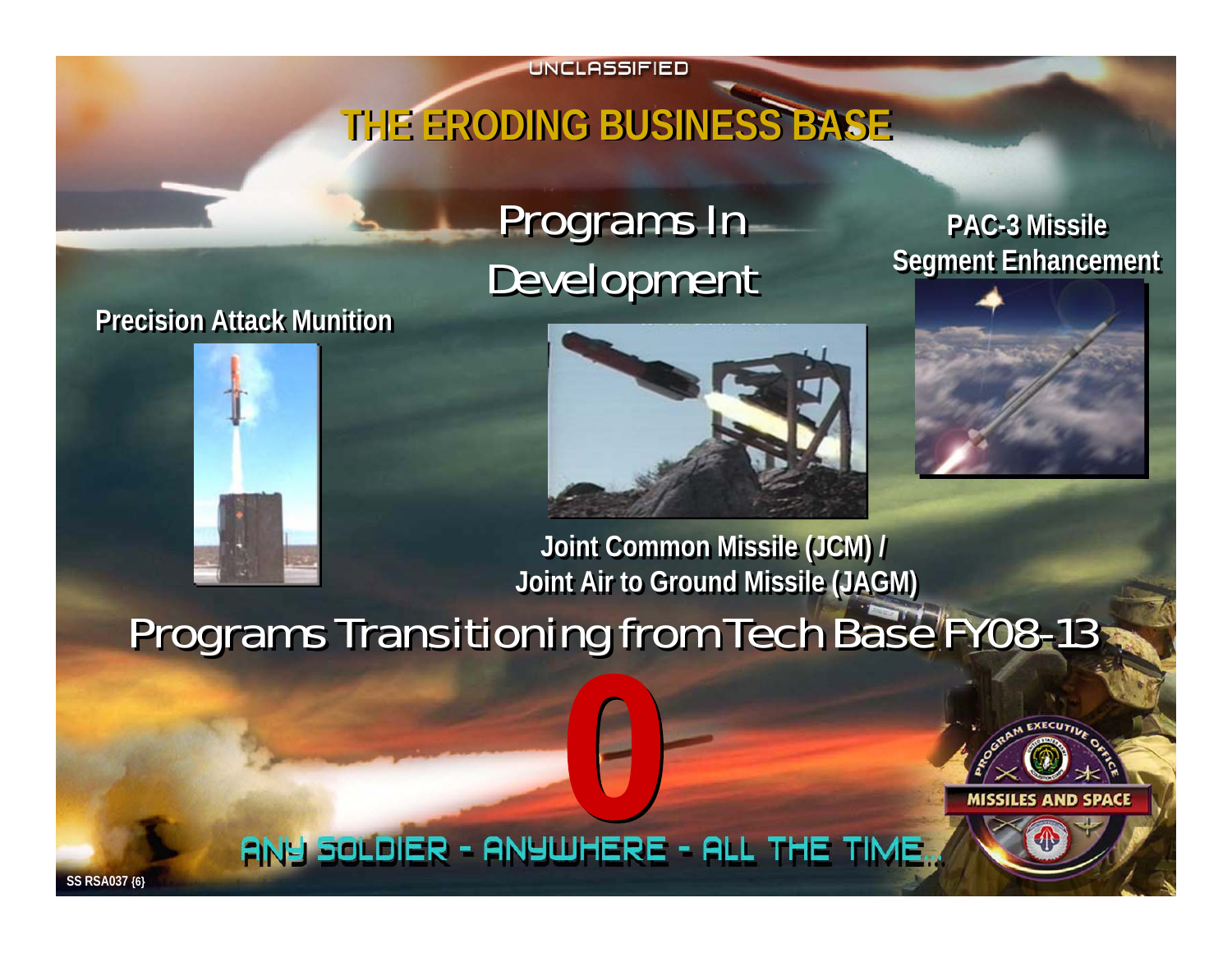# **THE ERODING BUSINESS BASE THE ERODING BUSINESS BASE**

# Programs In Programs In Development Development

**PAC-3 MissilePAC-3 Missile Segment Enhancement Segment Enhancement**

#### **Precision Attack Munition Precision Attack Munition**







Programs Transitioning from Tech Base FY08-13 **Joint Common Missile (JCM) / Joint Common Missile (JCM) / Joint Air to Ground Missile (JAGM) Joint Air to Ground Missile (JAGM)**



ANY SOLDIER - ANYWHERE - ALL THE TIME.

**SS RSA037 {6}**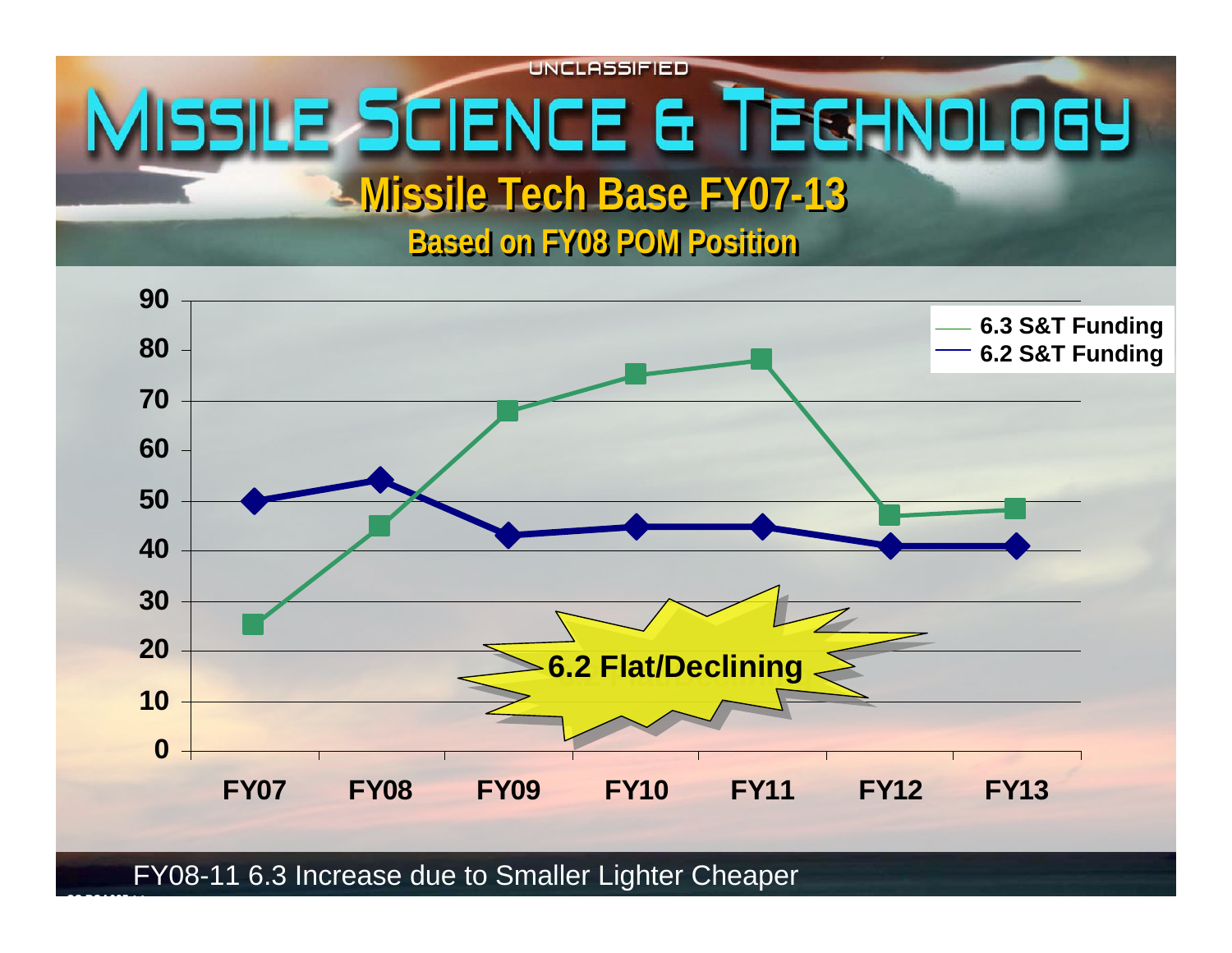# UNCLASSIFIED **AISSILE SCIENCE & TECHNOLOGY Missile Tech Base FY07-13 Missile Tech Base FY07-13**

**Based on FY08 POM Position Based on FY08 POM Position**



#### **FY08-11 6.3 Increase due to Smaller Lighter Cheaper**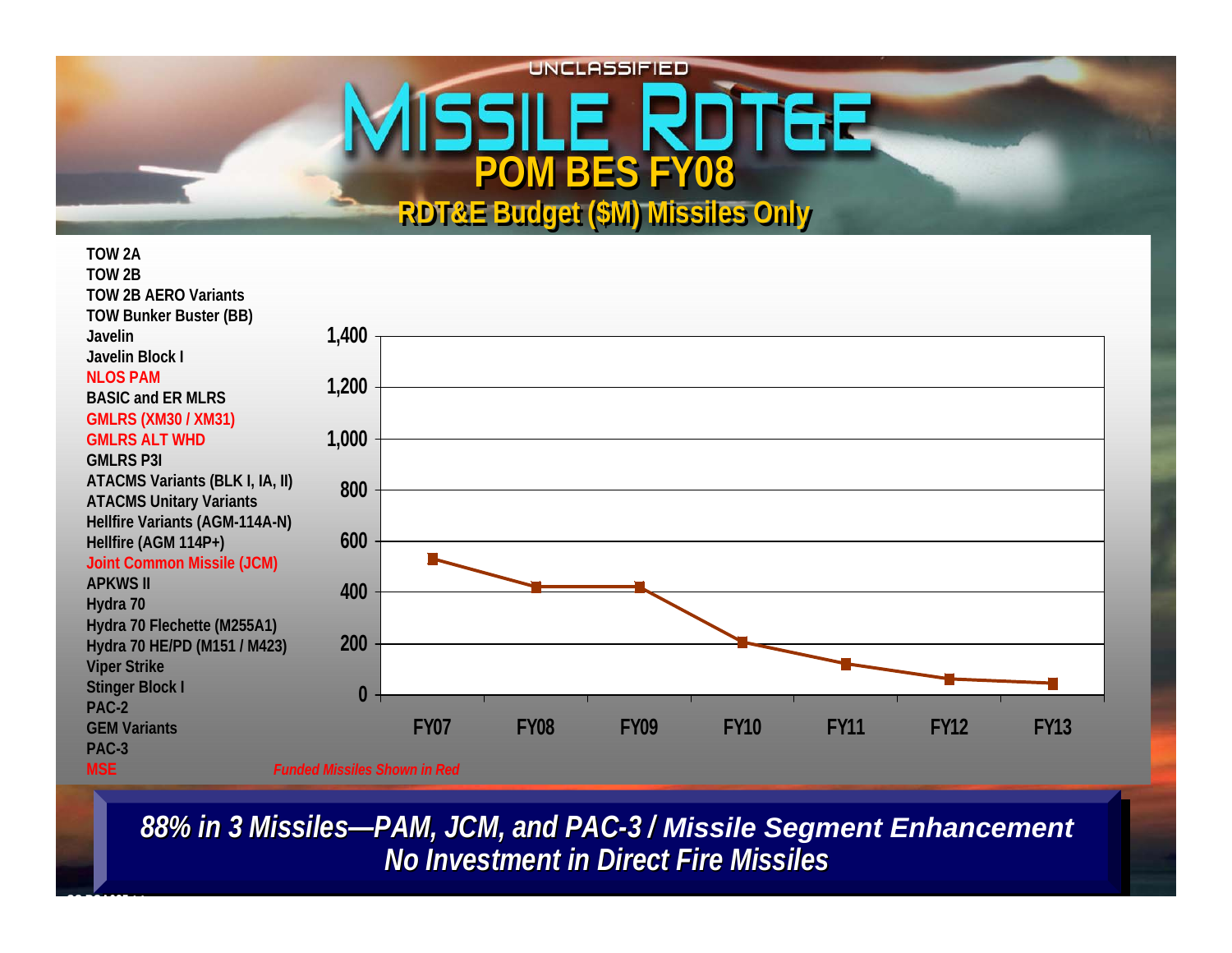### UNCLOSSIFIED 62 **POM BES FY08 RDT&E Budget (\$M) Missiles Only RDT&E Budget (\$M) Missiles Only**



**SS RSA037 {8}** *88% in 3 Missiles—PAM, JCM, and PAC-3 / Missile Segment Enhancement 88% in 3 Missiles 88% in 3 Missiles—PAM, JCM, and PAC PAM, JCM, and PAC-3 / Missile Segment Enhancement No Investment in Direct Fire MissilesNo Investment in Direct Fire Missiles No Investment in Direct Fire Missiles*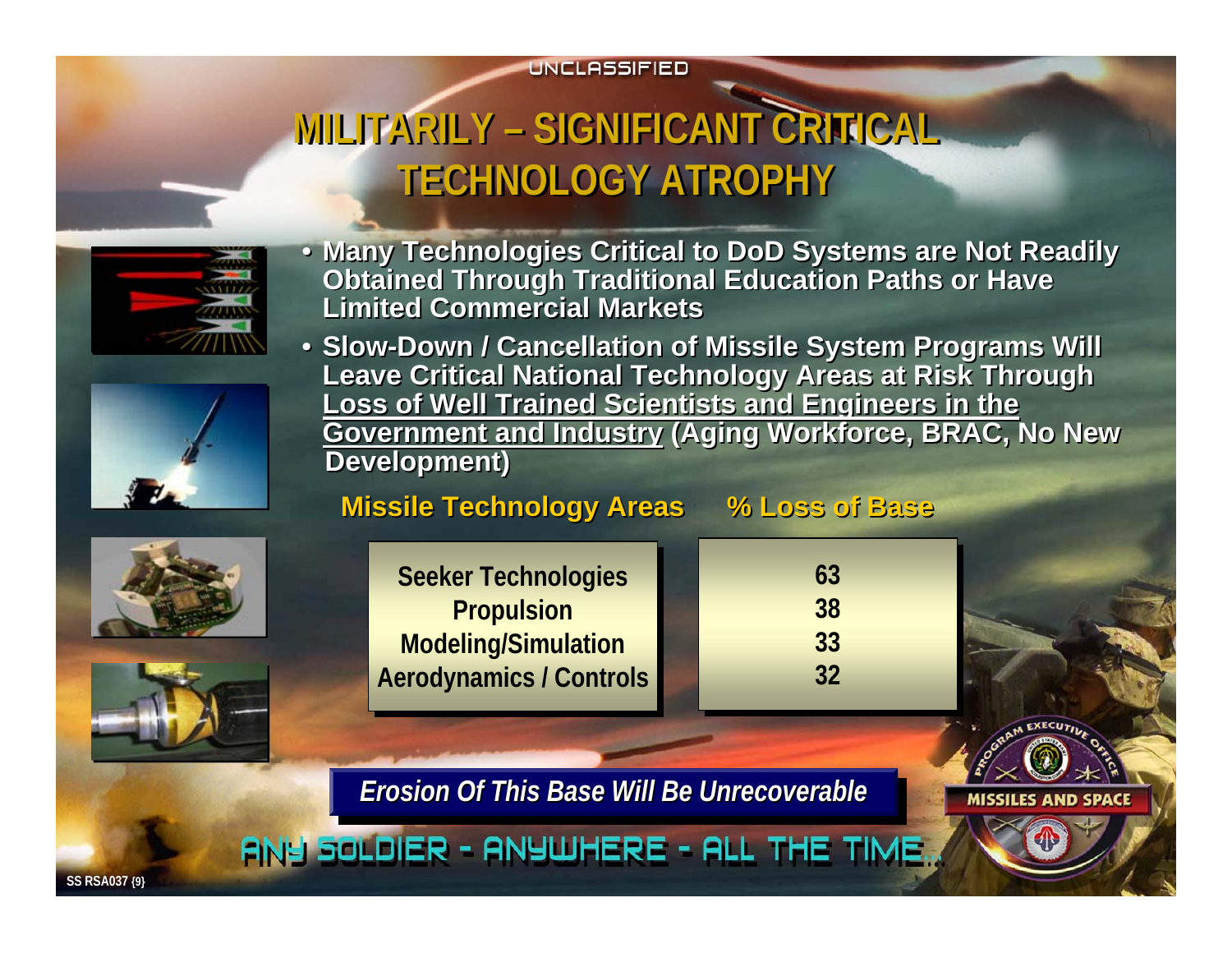# **MILITARILY – SIGNIFICANT CRITICAL MILITARILY – SIGNIFICANT CRITICAL TECHNOLOGY ATROPHYTECHNOLOGY ATROPHY**





- **Many Technologies Critical to DoD Systems are Not Readily Many Technologies Critical to DoD Systems are Not Readily Obtained Through Traditional Education Paths or Have Limited Commercial Markets Obtained Through Traditional Education Paths or Have Limited Commercial Markets**
- **Slow-Down / Cancellation of Missile System Programs Will Slow-Down / Cancellation of Missile System Programs Will Leave Critical National Technology Areas at Risk Through Leave Critical National Technology Areas at Risk Through Loss of Well Trained Scientists and Engineers in the Loss of Well Trained Scientists and Engineers in the Government and Industry (Aging Workforce, BRAC, No New Government and Industry (Aging Workforce, BRAC, No New Development) Development)**

#### **Missile Technology Areas Missile Technology Areas % Loss of Base % Loss of Base**





| 63 |  |
|----|--|
|    |  |
| 38 |  |
|    |  |
| 33 |  |
|    |  |
| 32 |  |
|    |  |
|    |  |

*Erosion Of This Base Will Be Unrecoverable Erosion Of This Base Will Be Unrecoverable Erosion Of This Base Will Be Unrecoverable* 

ANY SOLDIER - ANYWHERE - ALL THE TIME.